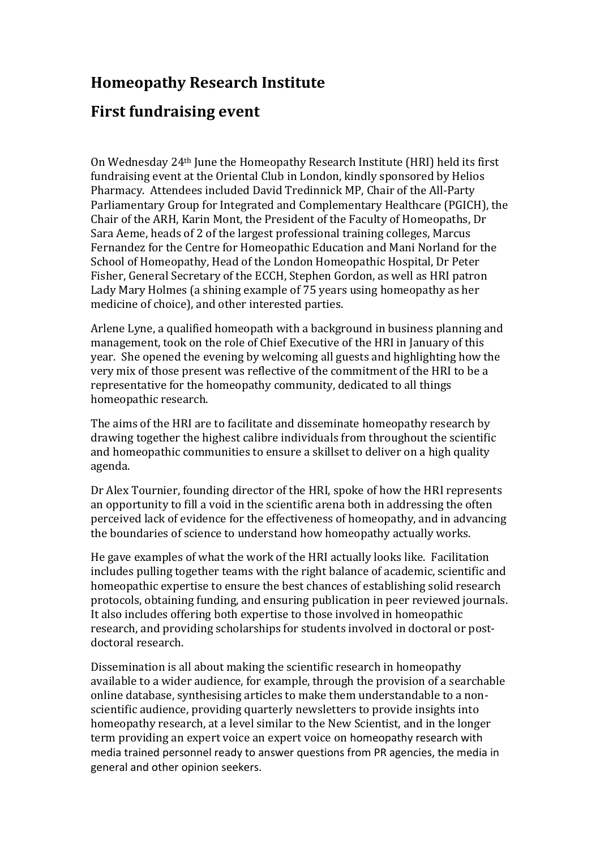## **Homeopathy Research Institute**

## **First fundraising event**

On Wednesday 24th June the Homeopathy Research Institute (HRI) held its first fundraising event at the Oriental Club in London, kindly sponsored by Helios Pharmacy. Attendees included David Tredinnick MP, Chair of the All*-*Party Parliamentary Group for Integrated and Complementary Healthcare (PGICH), the Chair of the ARH, Karin Mont, the President of the Faculty of Homeopaths, Dr Sara Aeme, heads of 2 of the largest professional training colleges, Marcus Fernandez for the Centre for Homeopathic Education and Mani Norland for the School of Homeopathy, Head of the London Homeopathic Hospital, Dr Peter Fisher, General Secretary of the ECCH, Stephen Gordon, as well as HRI patron Lady Mary Holmes (a shining example of 75 years using homeopathy as her medicine of choice), and other interested parties.

Arlene Lyne, a qualified homeopath with a background in business planning and management, took on the role of Chief Executive of the HRI in January of this year. She opened the evening by welcoming all guests and highlighting how the very mix of those present was reflective of the commitment of the HRI to be a representative for the homeopathy community, dedicated to all things homeopathic research.

The aims of the HRI are to facilitate and disseminate homeopathy research by drawing together the highest calibre individuals from throughout the scientific and homeopathic communities to ensure a skillset to deliver on a high quality agenda.

Dr Alex Tournier, founding director of the HRI, spoke of how the HRI represents an opportunity to fill a void in the scientific arena both in addressing the often perceived lack of evidence for the effectiveness of homeopathy, and in advancing the boundaries of science to understand how homeopathy actually works.

He gave examples of what the work of the HRI actually looks like. Facilitation includes pulling together teams with the right balance of academic, scientific and homeopathic expertise to ensure the best chances of establishing solid research protocols, obtaining funding, and ensuring publication in peer reviewed journals. It also includes offering both expertise to those involved in homeopathic research, and providing scholarships for students involved in doctoral or postdoctoral research.

Dissemination is all about making the scientific research in homeopathy available to a wider audience, for example, through the provision of a searchable online database, synthesising articles to make them understandable to a nonscientific audience, providing quarterly newsletters to provide insights into homeopathy research, at a level similar to the New Scientist, and in the longer term providing an expert voice an expert voice on homeopathy research with media trained personnel ready to answer questions from PR agencies, the media in general and other opinion seekers.